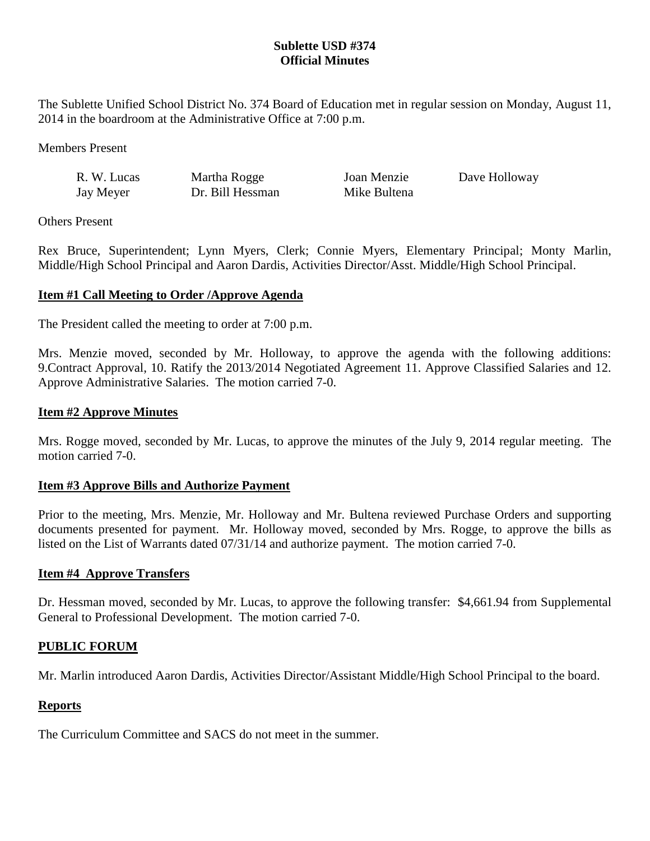## **Sublette USD #374 Official Minutes**

The Sublette Unified School District No. 374 Board of Education met in regular session on Monday, August 11, 2014 in the boardroom at the Administrative Office at 7:00 p.m.

Members Present

| R. W. Lucas | Martha Rogge     | Joan Menzie  | Dave Holloway |
|-------------|------------------|--------------|---------------|
| Jay Meyer   | Dr. Bill Hessman | Mike Bultena |               |

Others Present

Rex Bruce, Superintendent; Lynn Myers, Clerk; Connie Myers, Elementary Principal; Monty Marlin, Middle/High School Principal and Aaron Dardis, Activities Director/Asst. Middle/High School Principal.

## **Item #1 Call Meeting to Order /Approve Agenda**

The President called the meeting to order at 7:00 p.m.

Mrs. Menzie moved, seconded by Mr. Holloway, to approve the agenda with the following additions: 9.Contract Approval, 10. Ratify the 2013/2014 Negotiated Agreement 11. Approve Classified Salaries and 12. Approve Administrative Salaries. The motion carried 7-0.

#### **Item #2 Approve Minutes**

Mrs. Rogge moved, seconded by Mr. Lucas, to approve the minutes of the July 9, 2014 regular meeting. The motion carried 7-0.

#### **Item #3 Approve Bills and Authorize Payment**

Prior to the meeting, Mrs. Menzie, Mr. Holloway and Mr. Bultena reviewed Purchase Orders and supporting documents presented for payment. Mr. Holloway moved, seconded by Mrs. Rogge, to approve the bills as listed on the List of Warrants dated 07/31/14 and authorize payment. The motion carried 7-0.

#### **Item #4 Approve Transfers**

Dr. Hessman moved, seconded by Mr. Lucas, to approve the following transfer: \$4,661.94 from Supplemental General to Professional Development. The motion carried 7-0.

## **PUBLIC FORUM**

Mr. Marlin introduced Aaron Dardis, Activities Director/Assistant Middle/High School Principal to the board.

## **Reports**

The Curriculum Committee and SACS do not meet in the summer.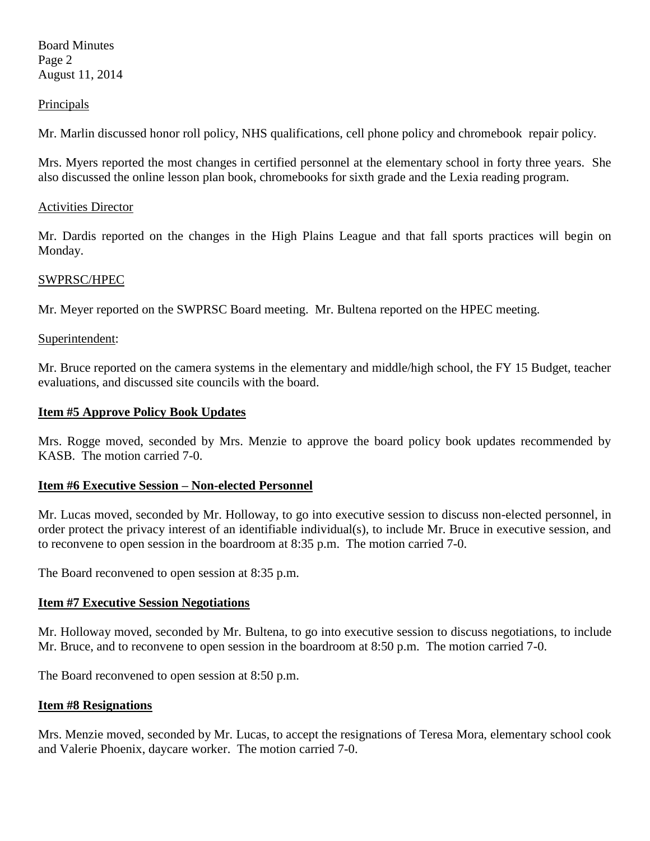Board Minutes Page 2 August 11, 2014

#### **Principals**

Mr. Marlin discussed honor roll policy, NHS qualifications, cell phone policy and chromebook repair policy.

Mrs. Myers reported the most changes in certified personnel at the elementary school in forty three years. She also discussed the online lesson plan book, chromebooks for sixth grade and the Lexia reading program.

### Activities Director

Mr. Dardis reported on the changes in the High Plains League and that fall sports practices will begin on Monday.

### SWPRSC/HPEC

Mr. Meyer reported on the SWPRSC Board meeting. Mr. Bultena reported on the HPEC meeting.

### Superintendent:

Mr. Bruce reported on the camera systems in the elementary and middle/high school, the FY 15 Budget, teacher evaluations, and discussed site councils with the board.

### **Item #5 Approve Policy Book Updates**

Mrs. Rogge moved, seconded by Mrs. Menzie to approve the board policy book updates recommended by KASB. The motion carried 7-0.

## **Item #6 Executive Session – Non-elected Personnel**

Mr. Lucas moved, seconded by Mr. Holloway, to go into executive session to discuss non-elected personnel, in order protect the privacy interest of an identifiable individual(s), to include Mr. Bruce in executive session, and to reconvene to open session in the boardroom at 8:35 p.m. The motion carried 7-0.

The Board reconvened to open session at 8:35 p.m.

## **Item #7 Executive Session Negotiations**

Mr. Holloway moved, seconded by Mr. Bultena, to go into executive session to discuss negotiations, to include Mr. Bruce, and to reconvene to open session in the boardroom at 8:50 p.m. The motion carried 7-0.

The Board reconvened to open session at 8:50 p.m.

## **Item #8 Resignations**

Mrs. Menzie moved, seconded by Mr. Lucas, to accept the resignations of Teresa Mora, elementary school cook and Valerie Phoenix, daycare worker. The motion carried 7-0.